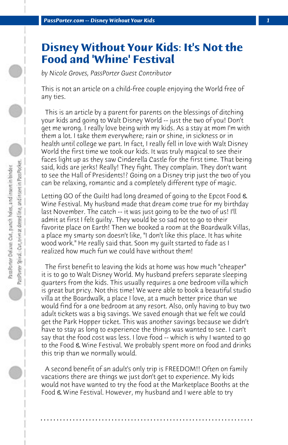## **Disney Without Your Kids: It's Not the Food and 'Whine' Festival**

*by Nicole Groves, PassPorter Guest Contributor*

This is not an article on a child-free couple enjoying the World free of any ties.

 This is an article by a parent for parents on the blessings of ditching your kids and going to Walt Disney World -- just the two of you! Don't get me wrong. I really love being with my kids. As a stay at mom I'm with them a lot. I take them everywhere; rain or shine, in sickness or in health until college we part. In fact, I really fell in love with Walt Disney World the first time we took our kids. It was truly magical to see their faces light up as they saw Cinderella Castle for the first time. That being said, kids are jerks! Really! They fight. They complain. They don't want to see the Hall of Presidents!? Going on a Disney trip just the two of you can be relaxing, romantic and a completely different type of magic.

Letting GO of the Guilti had long dreamed of going to the Epcot Food & Wine Festival. My husband made that dream come true for my birthday last November. The catch -- it was just going to be the two of us! I'll admit at first I felt guilty. They would be so sad not to go to their favorite place on Earth! Then we booked a room at the Boardwalk Villas, a place my smarty son doesn't like, "I don't like this place. It has white wood work." He really said that. Soon my guilt started to fade as I realized how much fun we could have without them!

 The first benefit to leaving the kids at home was how much "cheaper" it is to go to Walt Disney World. My husband prefers separate sleeping quarters from the kids. This usually requires a one bedroom villa which is great but pricy. Not this time! We were able to book a beautiful studio villa at the Boardwalk, a place I love, at a much better price than we would find for a one bedroom at any resort. Also, only having to buy two adult tickets was a big savings. We saved enough that we felt we could get the Park Hopper ticket. This was another savings because we didn't have to stay as long to experience the things was wanted to see. I can't say that the food cost was less. I love food -- which is why I wanted to go to the Food & Wine Festival. We probably spent more on food and drinks this trip than we normally would.

 A second benefit of an adult's only trip is FREEDOM!! Often on family vacations there are things we just don't get to experience. My kids would not have wanted to try the food at the Marketplace Booths at the Food & Wine Festival. However, my husband and I were able to try

**. . . . . . . . . . . . . . . . . . . . . . . . . . . . . . . . . . . . . . . . . . . . . . . . . . . . . . . . . . . . . . . . . .**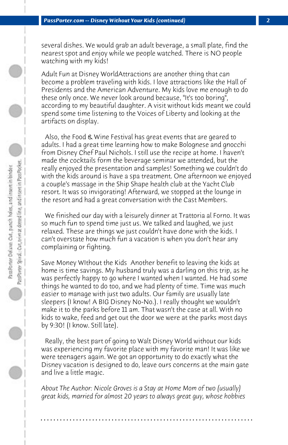several dishes. We would grab an adult beverage, a small plate, find the nearest spot and enjoy while we people watched. There is NO people watching with my kids!

Adult Fun at Disney WorldAttractions are another thing that can become a problem traveling with kids. I love attractions like the Hall of Presidents and the American Adventure. My kids love me enough to do these only once. We never look around because, "It's too boring", according to my beautiful daughter. A visit without kids meant we could spend some time listening to the Voices of Liberty and looking at the artifacts on display.

 Also, the Food & Wine Festival has great events that are geared to adults. I had a great time learning how to make Bolognese and gnocchi from Disney Chef Paul Nichols. I still use the recipe at home. I haven't made the cocktails form the beverage seminar we attended, but the really enjoyed the presentation and samples! Something we couldn't do with the kids around is have a spa treatment. One afternoon we enjoyed a couple's massage in the Ship Shape health club at the Yacht Club resort. It was so invigorating! Afterward, we stopped at the lounge in the resort and had a great conversation with the Cast Members.

 We finished our day with a leisurely dinner at Trattoria al Forno. It was so much fun to spend time just us. We talked and laughed, we just relaxed. These are things we just couldn't have done with the kids. I can't overstate how much fun a vacation is when you don't hear any complaining or fighting.

Save Money WIthout the Kids Another benefit to leaving the kids at home is time savings. My husband truly was a darling on this trip, as he was perfectly happy to go where I wanted when I wanted. He had some things he wanted to do too, and we had plenty of time. Time was much easier to manage with just two adults. Our family are usually late sleepers (I know! A BIG Disney No-No.). I really thought we wouldn't make it to the parks before 11 am. That wasn't the case at all. With no kids to wake, feed and get out the door we were at the parks most days by 9:30! (I know. Still late).

 Really, the best part of going to Walt Disney World without our kids was experiencing my favorite place with my favorite man! It was like we were teenagers again. We got an opportunity to do exactly what the Disney vacation is designed to do, leave ours concerns at the main gate and live a little magic.

*About The Author: Nicole Groves is a Stay at Home Mom of two (usually) great kids, married for almost 20 years to always great guy, whose hobbies*

**. . . . . . . . . . . . . . . . . . . . . . . . . . . . . . . . . . . . . . . . . . . . . . . . . . . . . . . . . . . . . . . . . .**